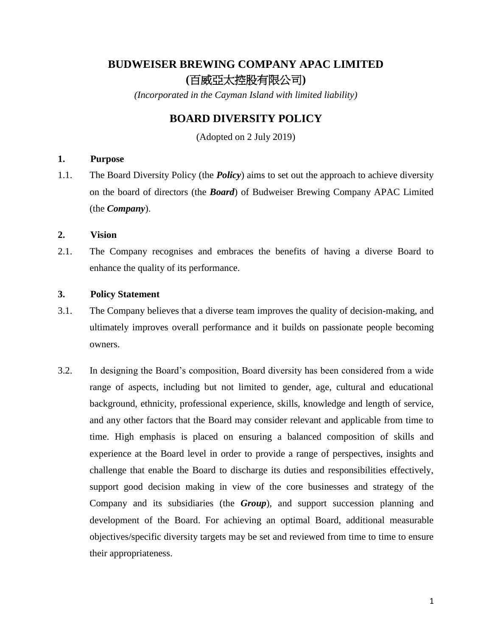# **BUDWEISER BREWING COMPANY APAC LIMITED (**百威亞太控股有限公司**)**

*(Incorporated in the Cayman Island with limited liability)*

# **BOARD DIVERSITY POLICY**

(Adopted on 2 July 2019)

## **1. Purpose**

1.1. The Board Diversity Policy (the *Policy*) aims to set out the approach to achieve diversity on the board of directors (the *Board*) of Budweiser Brewing Company APAC Limited (the *Company*).

## **2. Vision**

2.1. The Company recognises and embraces the benefits of having a diverse Board to enhance the quality of its performance.

# **3. Policy Statement**

- 3.1. The Company believes that a diverse team improves the quality of decision-making, and ultimately improves overall performance and it builds on passionate people becoming owners.
- 3.2. In designing the Board's composition, Board diversity has been considered from a wide range of aspects, including but not limited to gender, age, cultural and educational background, ethnicity, professional experience, skills, knowledge and length of service, and any other factors that the Board may consider relevant and applicable from time to time. High emphasis is placed on ensuring a balanced composition of skills and experience at the Board level in order to provide a range of perspectives, insights and challenge that enable the Board to discharge its duties and responsibilities effectively, support good decision making in view of the core businesses and strategy of the Company and its subsidiaries (the *Group*), and support succession planning and development of the Board. For achieving an optimal Board, additional measurable objectives/specific diversity targets may be set and reviewed from time to time to ensure their appropriateness.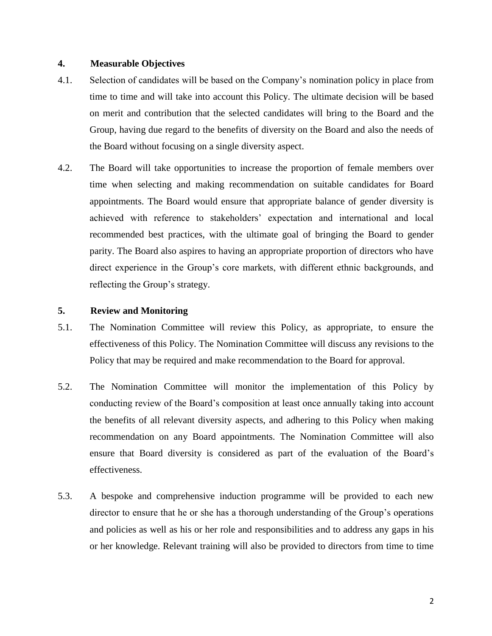#### **4. Measurable Objectives**

- 4.1. Selection of candidates will be based on the Company's nomination policy in place from time to time and will take into account this Policy. The ultimate decision will be based on merit and contribution that the selected candidates will bring to the Board and the Group, having due regard to the benefits of diversity on the Board and also the needs of the Board without focusing on a single diversity aspect.
- 4.2. The Board will take opportunities to increase the proportion of female members over time when selecting and making recommendation on suitable candidates for Board appointments. The Board would ensure that appropriate balance of gender diversity is achieved with reference to stakeholders' expectation and international and local recommended best practices, with the ultimate goal of bringing the Board to gender parity. The Board also aspires to having an appropriate proportion of directors who have direct experience in the Group's core markets, with different ethnic backgrounds, and reflecting the Group's strategy.

#### **5. Review and Monitoring**

- 5.1. The Nomination Committee will review this Policy, as appropriate, to ensure the effectiveness of this Policy. The Nomination Committee will discuss any revisions to the Policy that may be required and make recommendation to the Board for approval.
- 5.2. The Nomination Committee will monitor the implementation of this Policy by conducting review of the Board's composition at least once annually taking into account the benefits of all relevant diversity aspects, and adhering to this Policy when making recommendation on any Board appointments. The Nomination Committee will also ensure that Board diversity is considered as part of the evaluation of the Board's effectiveness.
- 5.3. A bespoke and comprehensive induction programme will be provided to each new director to ensure that he or she has a thorough understanding of the Group's operations and policies as well as his or her role and responsibilities and to address any gaps in his or her knowledge. Relevant training will also be provided to directors from time to time